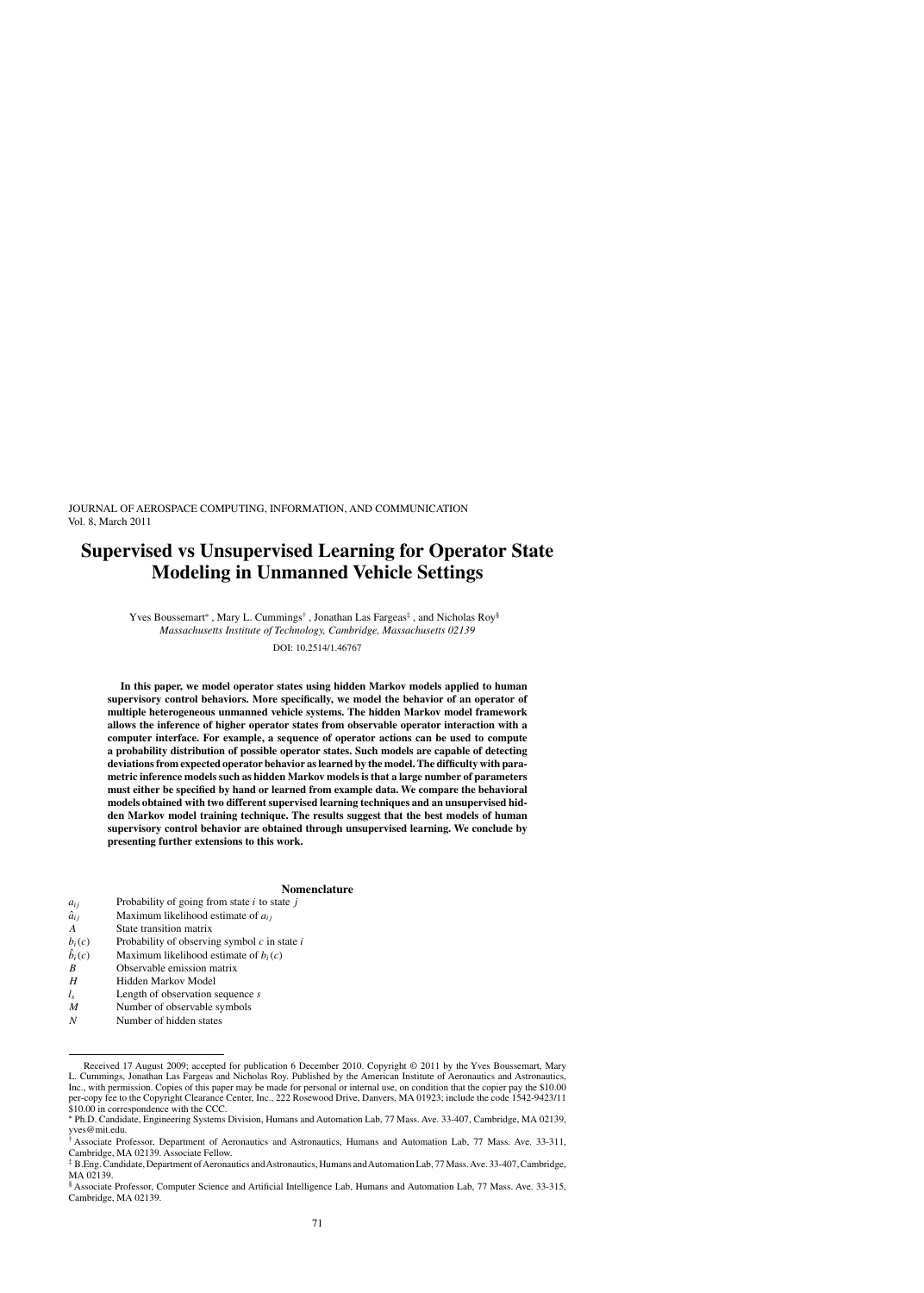# **Supervised vs Unsupervised Learning for Operator State Modeling in Unmanned Vehicle Settings**

Yves Boussemart<sup>∗</sup>, Mary L. Cummings<sup>†</sup>, Jonathan Las Fargeas<sup>‡</sup>, and Nicholas Roy<sup>§</sup> *Massachusetts Institute of Technology, Cambridge, Massachusetts 02139*

DOI: 10.2514/1.46767

**In this paper, we model operator states using hidden Markov models applied to human supervisory control behaviors. More specifically, we model the behavior of an operator of multiple heterogeneous unmanned vehicle systems. The hidden Markov model framework allows the inference of higher operator states from observable operator interaction with a computer interface. For example, a sequence of operator actions can be used to compute a probability distribution of possible operator states. Such models are capable of detecting deviations from expected operator behavior as learned by the model. The difficulty with parametric inference models such as hidden Markov models is that a large number of parameters must either be specified by hand or learned from example data. We compare the behavioral models obtained with two different supervised learning techniques and an unsupervised hidden Markov model training technique. The results suggest that the best models of human supervisory control behavior are obtained through unsupervised learning. We conclude by presenting further extensions to this work.**

## **Nomenclature**

- *aij* Probability of going from state *i* to state *j*
- $\hat{a}_{ij}$  Maximum likelihood estimate of  $a_{ij}$
- *A* State transition matrix
- $b_i(c)$  Probability of observing symbol *c* in state *i*
- $\hat{b}_i(c)$ Maximum likelihood estimate of  $b_i(c)$
- *B* Observable emission matrix
- *H* Hidden Markov Model
- *ls* Length of observation sequence *s*
- *M* Number of observable symbols
- *N* Number of hidden states

Received 17 August 2009; accepted for publication 6 December 2010. Copyright © 2011 by the Yves Boussemart, Mary L. Cummings, Jonathan Las Fargeas and Nicholas Roy. Published by the American Institute of Aeronautics and Astronautics, Inc., with permission. Copies of this paper may be made for personal or internal use, on condition that the copier pay the \$10.00 per-copy fee to the Copyright Clearance Center, Inc., 222 Rosewood Drive, Danvers, MA 01923; include the code 1542-9423/11 \$10.00 in correspondence with the CCC.

<sup>∗</sup> Ph.D. Candidate, Engineering Systems Division, Humans and Automation Lab, 77 Mass. Ave. 33-407, Cambridge, MA 02139, yves@mit.edu.

<sup>†</sup> Associate Professor, Department of Aeronautics and Astronautics, Humans and Automation Lab, 77 Mass. Ave. 33-311, Cambridge, MA 02139. Associate Fellow.

 $\frac{4}{3}$  B.Eng. Candidate, Department of Aeronautics and Astronautics, Humans and Automation Lab, 77 Mass. Ave. 33-407, Cambridge, MA 02139.

<sup>§</sup> Associate Professor, Computer Science and Artificial Intelligence Lab, Humans and Automation Lab, 77 Mass. Ave. 33-315, Cambridge, MA 02139.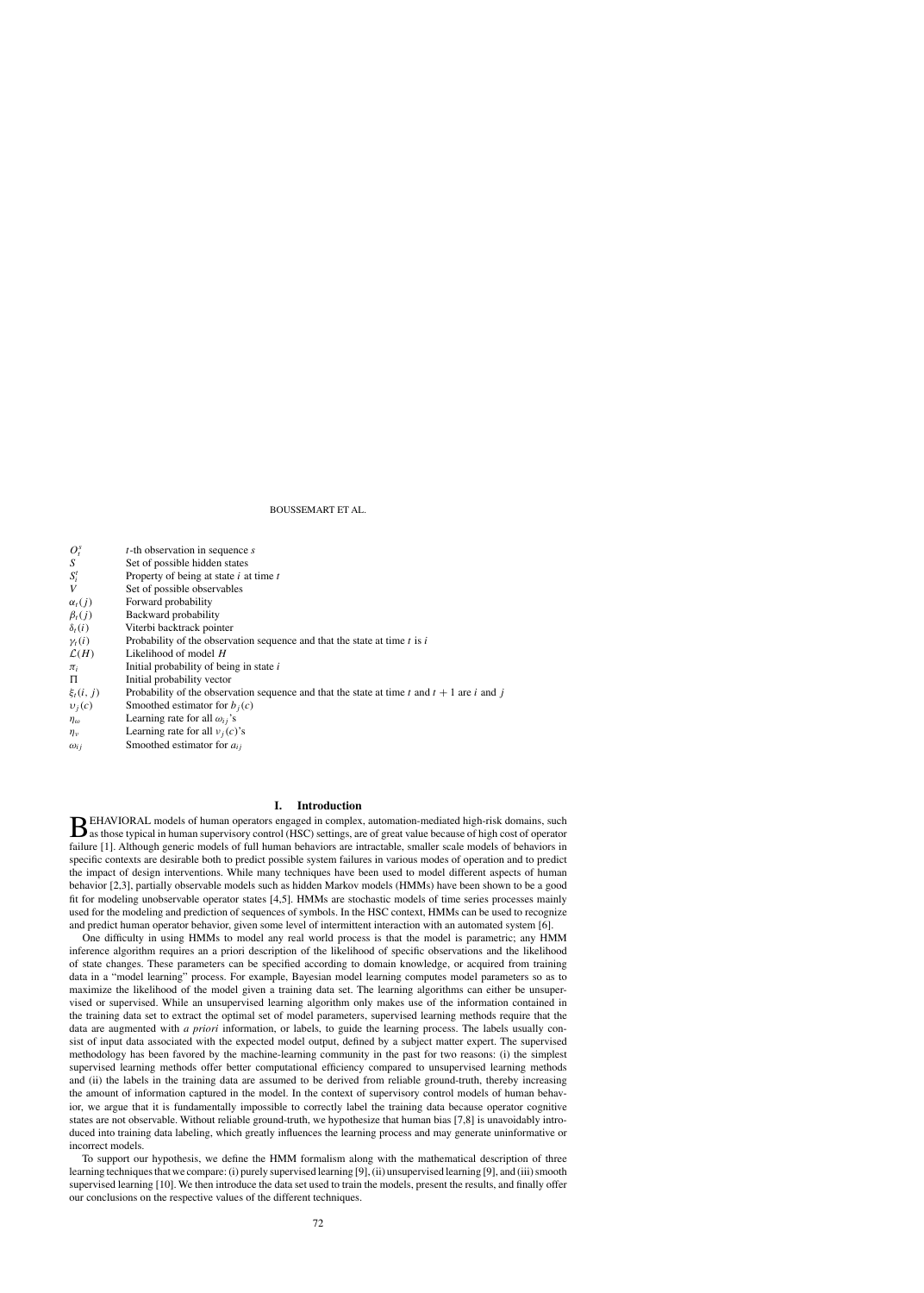| $O_t^s$          | $t$ -th observation in sequence $s$                                                          |
|------------------|----------------------------------------------------------------------------------------------|
| S                | Set of possible hidden states                                                                |
| $S_i^t$          | Property of being at state <i>i</i> at time <i>t</i>                                         |
|                  | Set of possible observables                                                                  |
| $\alpha_i(j)$    | Forward probability                                                                          |
| $\beta_t(j)$     | Backward probability                                                                         |
| $\delta_i(i)$    | Viterbi backtrack pointer                                                                    |
| $\gamma_t(i)$    | Probability of the observation sequence and that the state at time $t$ is $i$                |
| $\mathcal{L}(H)$ | Likelihood of model H                                                                        |
| $\pi_i$          | Initial probability of being in state i                                                      |
| П                | Initial probability vector                                                                   |
| $\xi_t(i,j)$     | Probability of the observation sequence and that the state at time t and $t + 1$ are i and j |
| $v_i(c)$         | Smoothed estimator for $b_i(c)$                                                              |
| $\eta_{\omega}$  | Learning rate for all $\omega_{ii}$ 's                                                       |
| $\eta_v$         | Learning rate for all $v_i(c)$ 's                                                            |
| $\omega_{ij}$    | Smoothed estimator for $a_{ij}$                                                              |
|                  |                                                                                              |

## **I. Introduction**

BEHAVIORAL models of human operators engaged in complex, automation-mediated high-risk domains, such as those typical in human supervisory control (HSC) settings, are of great value because of high cost of operator failure [1]. Although generic models of full human behaviors are intractable, smaller scale models of behaviors in specific contexts are desirable both to predict possible system failures in various modes of operation and to predict the impact of design interventions. While many techniques have been used to model different aspects of human behavior [2,3], partially observable models such as hidden Markov models (HMMs) have been shown to be a good fit for modeling unobservable operator states [4,5]. HMMs are stochastic models of time series processes mainly used for the modeling and prediction of sequences of symbols. In the HSC context, HMMs can be used to recognize and predict human operator behavior, given some level of intermittent interaction with an automated system [6].

One difficulty in using HMMs to model any real world process is that the model is parametric; any HMM inference algorithm requires an a priori description of the likelihood of specific observations and the likelihood of state changes. These parameters can be specified according to domain knowledge, or acquired from training data in a "model learning" process. For example, Bayesian model learning computes model parameters so as to maximize the likelihood of the model given a training data set. The learning algorithms can either be unsupervised or supervised. While an unsupervised learning algorithm only makes use of the information contained in the training data set to extract the optimal set of model parameters, supervised learning methods require that the data are augmented with *a priori* information, or labels, to guide the learning process. The labels usually consist of input data associated with the expected model output, defined by a subject matter expert. The supervised methodology has been favored by the machine-learning community in the past for two reasons: (i) the simplest supervised learning methods offer better computational efficiency compared to unsupervised learning methods and (ii) the labels in the training data are assumed to be derived from reliable ground-truth, thereby increasing the amount of information captured in the model. In the context of supervisory control models of human behavior, we argue that it is fundamentally impossible to correctly label the training data because operator cognitive states are not observable. Without reliable ground-truth, we hypothesize that human bias [7,8] is unavoidably introduced into training data labeling, which greatly influences the learning process and may generate uninformative or incorrect models.

To support our hypothesis, we define the HMM formalism along with the mathematical description of three learning techniques that we compare: (i) purely supervised learning [9], (ii) unsupervised learning [9], and (iii) smooth supervised learning [10]. We then introduce the data set used to train the models, present the results, and finally offer our conclusions on the respective values of the different techniques.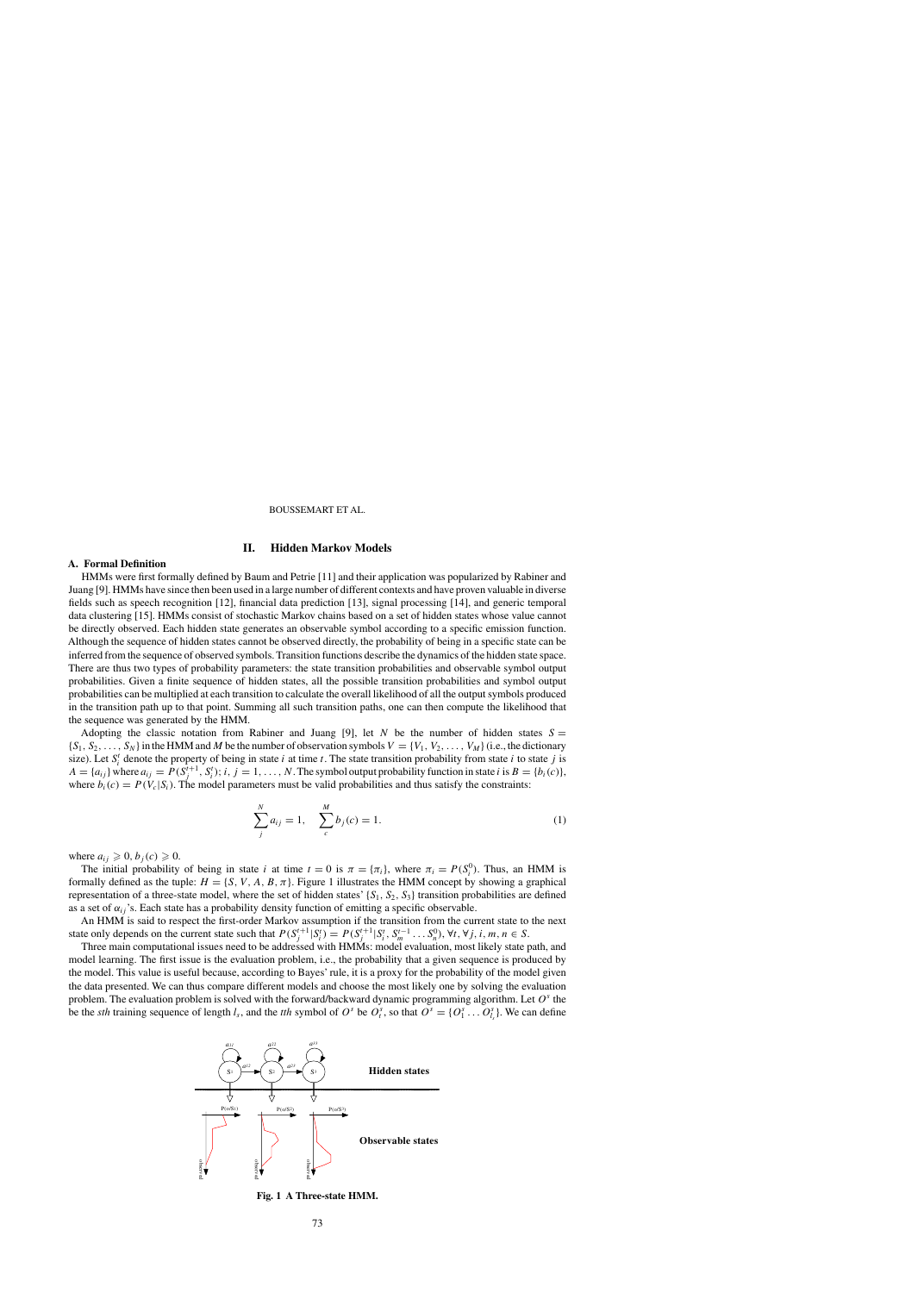# **II. Hidden Markov Models**

## **A. Formal Definition**

HMMs were first formally defined by Baum and Petrie [11] and their application was popularized by Rabiner and Juang [9]. HMMs have since then been used in a large number of different contexts and have proven valuable in diverse fields such as speech recognition [12], financial data prediction [13], signal processing [14], and generic temporal data clustering [15]. HMMs consist of stochastic Markov chains based on a set of hidden states whose value cannot be directly observed. Each hidden state generates an observable symbol according to a specific emission function. Although the sequence of hidden states cannot be observed directly, the probability of being in a specific state can be inferred from the sequence of observed symbols. Transition functions describe the dynamics of the hidden state space. There are thus two types of probability parameters: the state transition probabilities and observable symbol output probabilities. Given a finite sequence of hidden states, all the possible transition probabilities and symbol output probabilities can be multiplied at each transition to calculate the overall likelihood of all the output symbols produced in the transition path up to that point. Summing all such transition paths, one can then compute the likelihood that the sequence was generated by the HMM.

Adopting the classic notation from Rabiner and Juang [9], let *N* be the number of hidden states  $S =$  ${S_1, S_2, \ldots, S_N}$  in the HMM and *M* be the number of observation symbols  $V = {V_1, V_2, \ldots, V_M}$  (i.e., the dictionary size). Let  $S_i^t$  denote the property of being in state *i* at time *t*. The state transition probability from state *i* to state *j* is  $A = \{a_{ij}\}\text{ where } a_{ij} = P(S_j^{t+1}, S_i^t); i, j = 1, ..., N.$  The symbol output probability function in state i is  $B = \{b_i(c)\}\text{,}$ where  $b_i(c) = P(V_c|S_i)$ . The model parameters must be valid probabilities and thus satisfy the constraints:

$$
\sum_{j}^{N} a_{ij} = 1, \quad \sum_{c}^{M} b_{j}(c) = 1.
$$
 (1)

where  $a_{ij} \geqslant 0, b_j(c) \geqslant 0$ .

The initial probability of being in state *i* at time  $t = 0$  is  $\pi = {\pi_i}$ , where  $\pi_i = P(S_i^0)$ . Thus, an HMM is formally defined as the tuple:  $H = \{S, V, A, B, \pi\}$ . Figure 1 illustrates the HMM concept by showing a graphical representation of a three-state model, where the set of hidden states'  $\{S_1, S_2, S_3\}$  transition probabilities are defined as a set of *αij* 's. Each state has a probability density function of emitting a specific observable.

An HMM is said to respect the first-order Markov assumption if the transition from the current state to the next state only depends on the current state such that  $P(S_j^{t+1}|S_i^t) = P(S_j^{t+1}|S_i^t, S_m^{t-1} \dots S_n^0), \forall t, \forall j, i, m, n \in S$ .

Three main computational issues need to be addressed with HMMs: model evaluation, most likely state path, and model learning. The first issue is the evaluation problem, i.e., the probability that a given sequence is produced by the model. This value is useful because, according to Bayes' rule, it is a proxy for the probability of the model given the data presented. We can thus compare different models and choose the most likely one by solving the evaluation problem. The evaluation problem is solved with the forward/backward dynamic programming algorithm. Let *O<sup>s</sup>* the be the *sth* training sequence of length  $l_s$ , and the *tth* symbol of  $O^s$  be  $O_i^s$ , so that  $O^s = \{O_1^s \dots O_{l_s}^s\}$ . We can define



**Fig. 1 A Three-state HMM.**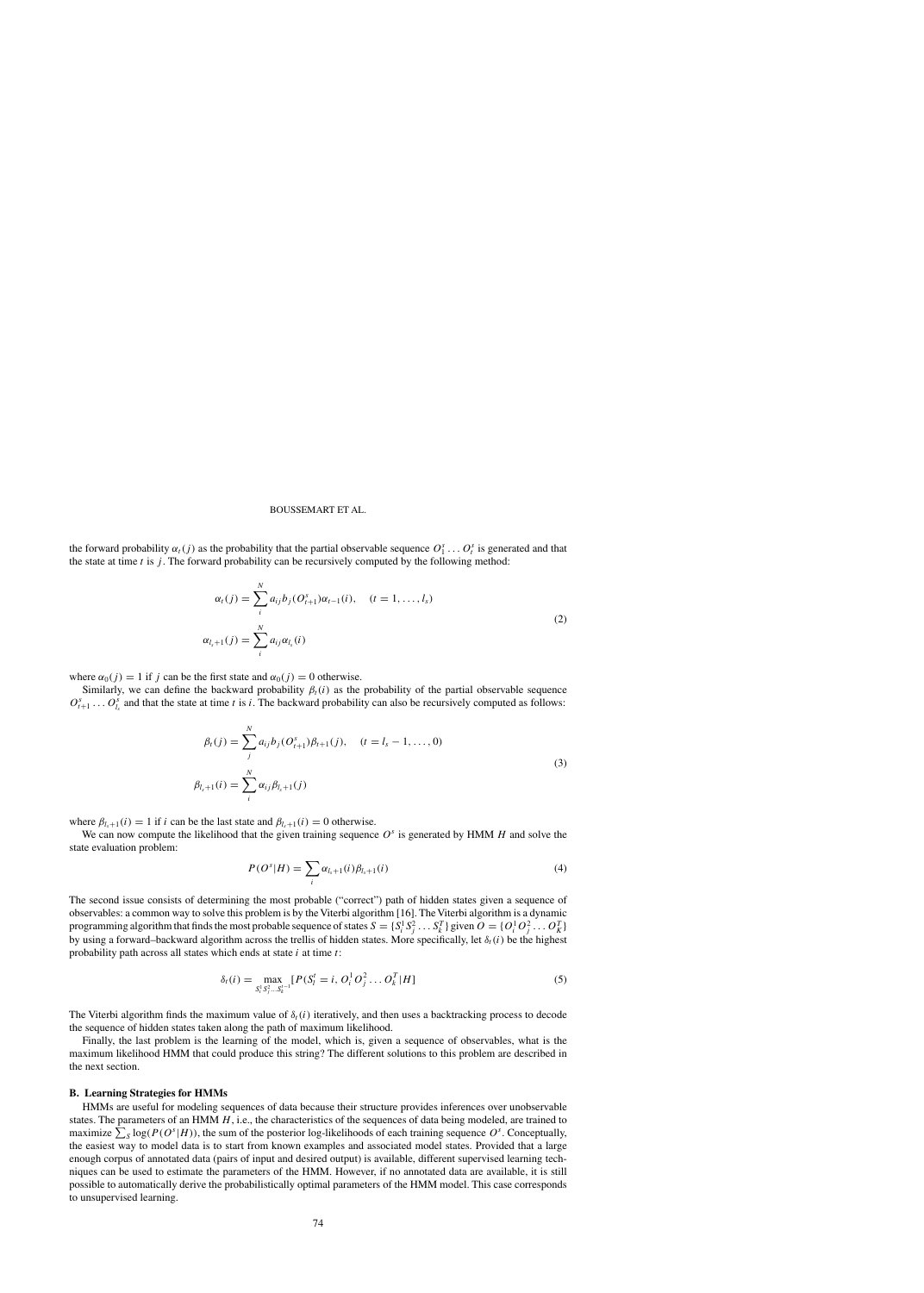the forward probability  $\alpha_t(j)$  as the probability that the partial observable sequence  $O_1^s \ldots O_t^s$  is generated and that the state at time *t* is *j* . The forward probability can be recursively computed by the following method:

$$
\alpha_t(j) = \sum_{i}^{N} a_{ij} b_j (O_{t+1}^s) \alpha_{t-1}(i), \quad (t = 1, ..., l_s)
$$
  

$$
\alpha_{l_s+1}(j) = \sum_{i}^{N} a_{ij} \alpha_{l_s}(i)
$$
 (2)

where  $\alpha_0(j) = 1$  if *j* can be the first state and  $\alpha_0(j) = 0$  otherwise.

Similarly, we can define the backward probability  $\beta_t(i)$  as the probability of the partial observable sequence  $O_{t+1}^s$  ...  $O_{l_s}^s$  and that the state at time *t* is *i*. The backward probability can also be recursively computed as follows:

$$
\beta_t(j) = \sum_{j}^{N} a_{ij} b_j (O_{t+1}^s) \beta_{t+1}(j), \quad (t = l_s - 1, ..., 0)
$$
  

$$
\beta_{l_s+1}(i) = \sum_{i}^{N} \alpha_{ij} \beta_{l_s+1}(j)
$$
 (3)

where  $\beta_{l_s+1}(i) = 1$  if *i* can be the last state and  $\beta_{l_s+1}(i) = 0$  otherwise.

We can now compute the likelihood that the given training sequence  $O<sup>s</sup>$  is generated by HMM *H* and solve the state evaluation problem:

$$
P(Os|H) = \sum_{i} \alpha_{l_s+1}(i)\beta_{l_s+1}(i)
$$
\n(4)

The second issue consists of determining the most probable ("correct") path of hidden states given a sequence of observables: a common way to solve this problem is by the Viterbi algorithm [16]. The Viterbi algorithm is a dynamic programming algorithm that finds the most probable sequence of states  $S = \{S_i^1 S_j^2 \dots S_k^T\}$  given  $O = \{O_i^1 O_j^2 \dots O_K^T\}$ by using a forward–backward algorithm across the trellis of hidden states. More specifically, let  $\delta_t(i)$  be the highest probability path across all states which ends at state *i* at time *t*:

$$
\delta_t(i) = \max_{S_i^1 S_j^2 \dots S_k^{t-1}} [P(S_l^t = i, O_i^1 O_j^2 \dots O_k^T | H]
$$
\n(5)

The Viterbi algorithm finds the maximum value of  $\delta_t(i)$  iteratively, and then uses a backtracking process to decode the sequence of hidden states taken along the path of maximum likelihood.

Finally, the last problem is the learning of the model, which is, given a sequence of observables, what is the maximum likelihood HMM that could produce this string? The different solutions to this problem are described in the next section.

#### **B. Learning Strategies for HMMs**

HMMs are useful for modeling sequences of data because their structure provides inferences over unobservable states. The parameters of an HMM *H*, i.e., the characteristics of the sequences of data being modeled, are trained to maximize  $\sum_{S} \log(P(O^s|H))$ , the sum of the posterior log-likelihoods of each training sequence  $O^s$ . Conceptually, the easiest way to model data is to start from known examples and associated model states. Provided that a large enough corpus of annotated data (pairs of input and desired output) is available, different supervised learning techniques can be used to estimate the parameters of the HMM. However, if no annotated data are available, it is still possible to automatically derive the probabilistically optimal parameters of the HMM model. This case corresponds to unsupervised learning.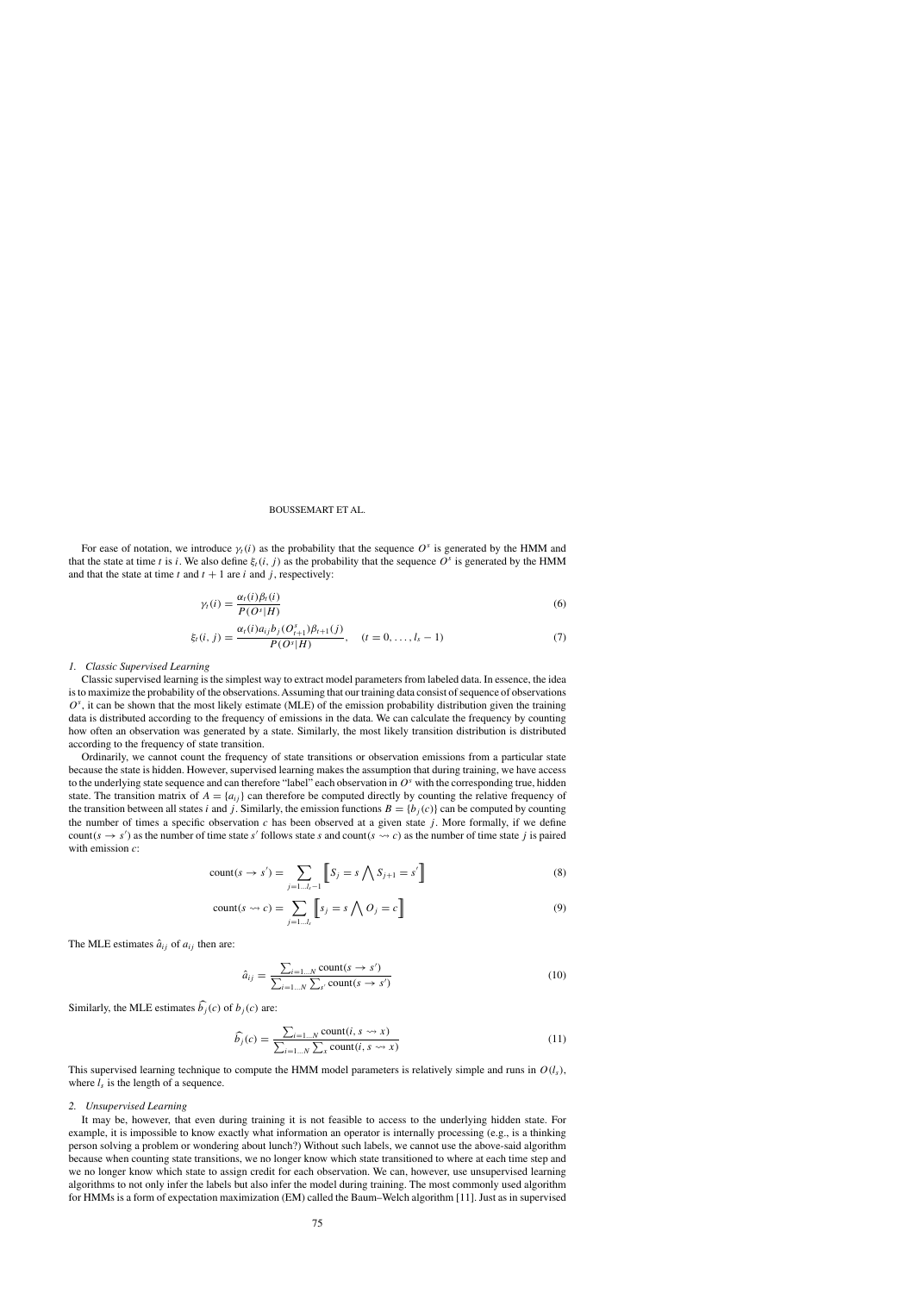For ease of notation, we introduce  $\gamma_t(i)$  as the probability that the sequence  $O^s$  is generated by the HMM and that the state at time *t* is *i*. We also define  $\xi_i(i, j)$  as the probability that the sequence  $O^s$  is generated by the HMM and that the state at time  $t$  and  $t + 1$  are  $i$  and  $j$ , respectively:

$$
\gamma_t(i) = \frac{\alpha_t(i)\beta_t(i)}{P(O^s|H)}
$$
\n<sup>(6)</sup>

$$
\xi_t(i,j) = \frac{\alpha_t(i)a_{ij}b_j(O_{t+1}^s)\beta_{t+1}(j)}{P(O^s|H)}, \quad (t = 0, \dots, l_s - 1)
$$
\n(7)

## *1. Classic Supervised Learning*

Classic supervised learning is the simplest way to extract model parameters from labeled data. In essence, the idea is to maximize the probability of the observations. Assuming that our training data consist of sequence of observations  $O^s$ , it can be shown that the most likely estimate (MLE) of the emission probability distribution given the training data is distributed according to the frequency of emissions in the data. We can calculate the frequency by counting how often an observation was generated by a state. Similarly, the most likely transition distribution is distributed according to the frequency of state transition.

Ordinarily, we cannot count the frequency of state transitions or observation emissions from a particular state because the state is hidden. However, supervised learning makes the assumption that during training, we have access to the underlying state sequence and can therefore "label" each observation in  $O<sup>s</sup>$  with the corresponding true, hidden state. The transition matrix of  $A = \{a_{ij}\}$  can therefore be computed directly by counting the relative frequency of the transition between all states *i* and *j*. Similarly, the emission functions  $B = \{b_j(c)\}\$ can be computed by counting the number of times a specific observation  $c$  has been observed at a given state  $j$ . More formally, if we define count $(s \to s')$  as the number of time state *s'* follows state *s* and count $(s \leadsto c)$  as the number of time state *j* is paired with emission *c*:

count(s 
$$
\rightarrow s')
$$
 =  $\sum_{j=1...l_s-1} [S_j = s \bigwedge S_{j+1} = s']$  (8)

$$
count(s \leadsto c) = \sum_{j=1...l_s} \left[ s_j = s \bigwedge O_j = c \right]
$$
\n(9)

The MLE estimates  $\hat{a}_{ij}$  of  $a_{ij}$  then are:

$$
\hat{a}_{ij} = \frac{\sum_{i=1...N} count(s \to s')}{\sum_{i=1...N} \sum_{s'} count(s \to s')} \tag{10}
$$

Similarly, the MLE estimates  $b_j(c)$  of  $b_j(c)$  are:

$$
\widehat{b_j}(c) = \frac{\sum_{i=1...N} count(i, s \leadsto x)}{\sum_{i=1...N} \sum_{x} count(i, s \leadsto x)}
$$
\n(11)

This supervised learning technique to compute the HMM model parameters is relatively simple and runs in  $O(l<sub>s</sub>)$ , where  $l_s$  is the length of a sequence.

## *2. Unsupervised Learning*

It may be, however, that even during training it is not feasible to access to the underlying hidden state. For example, it is impossible to know exactly what information an operator is internally processing (e.g., is a thinking person solving a problem or wondering about lunch?) Without such labels, we cannot use the above-said algorithm because when counting state transitions, we no longer know which state transitioned to where at each time step and we no longer know which state to assign credit for each observation. We can, however, use unsupervised learning algorithms to not only infer the labels but also infer the model during training. The most commonly used algorithm for HMMs is a form of expectation maximization (EM) called the Baum–Welch algorithm [11]. Just as in supervised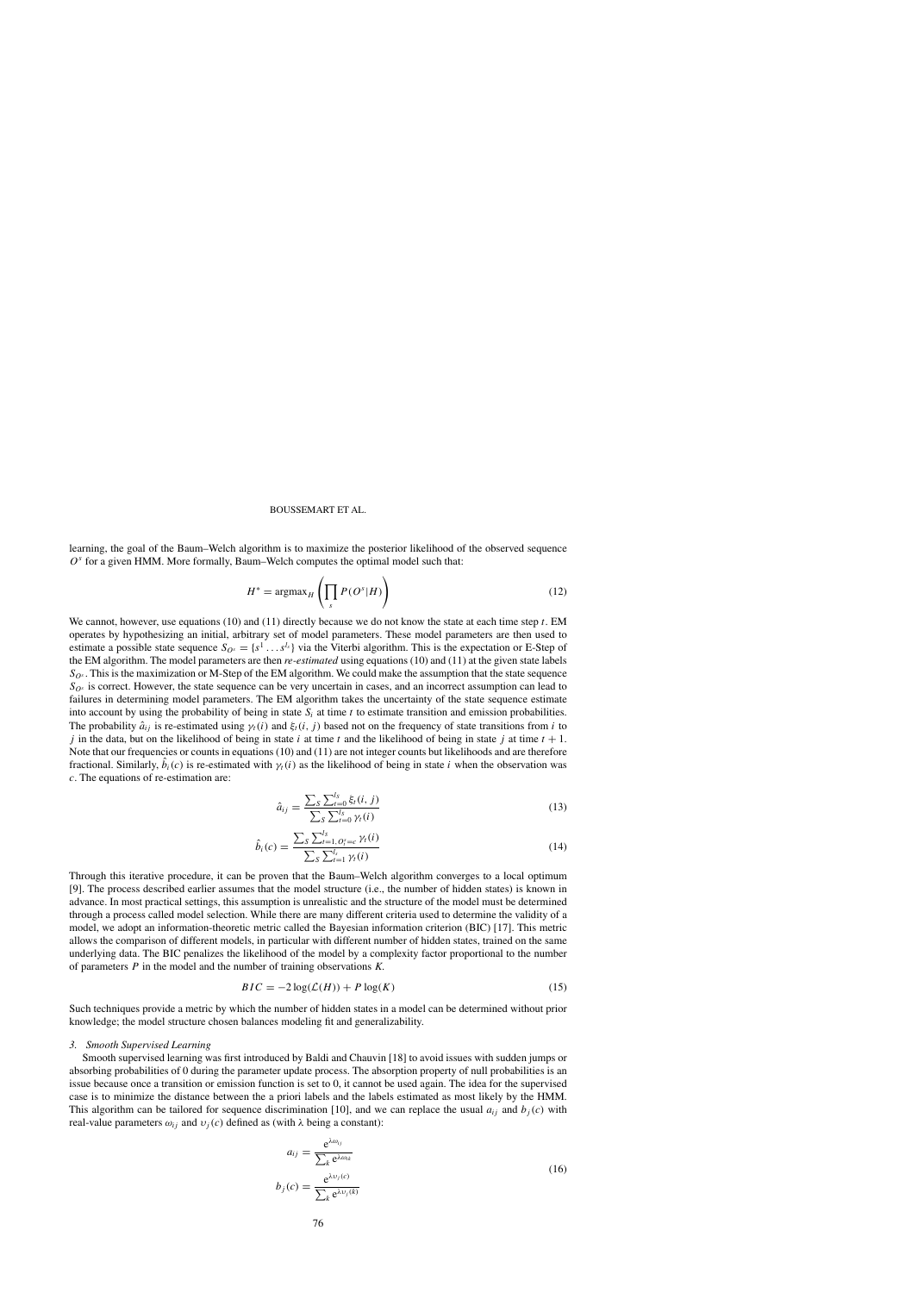learning, the goal of the Baum–Welch algorithm is to maximize the posterior likelihood of the observed sequence  $O<sup>s</sup>$  for a given HMM. More formally, Baum–Welch computes the optimal model such that:

$$
H^* = \operatorname{argmax}_{H} \left( \prod_s P(O^s | H) \right) \tag{12}
$$

We cannot, however, use equations (10) and (11) directly because we do not know the state at each time step *t*. EM operates by hypothesizing an initial, arbitrary set of model parameters. These model parameters are then used to estimate a possible state sequence  $S_{\mathcal{O}^s} = \{s^1 \dots s^{l_s}\}\$  via the Viterbi algorithm. This is the expectation or E-Step of the EM algorithm. The model parameters are then *re-estimated* using equations (10) and (11) at the given state labels  $S<sub>O<sub>s</sub></sub>$ . This is the maximization or M-Step of the EM algorithm. We could make the assumption that the state sequence  $S<sub>O<sub>s</sub></sub>$  is correct. However, the state sequence can be very uncertain in cases, and an incorrect assumption can lead to failures in determining model parameters. The EM algorithm takes the uncertainty of the state sequence estimate into account by using the probability of being in state  $S_i$  at time  $t$  to estimate transition and emission probabilities. The probability  $\hat{a}_{ij}$  is re-estimated using  $\gamma_i(i)$  and  $\xi_i(i, j)$  based not on the frequency of state transitions from *i* to *j* in the data, but on the likelihood of being in state *i* at time *t* and the likelihood of being in state *j* at time  $t + 1$ . Note that our frequencies or counts in equations (10) and (11) are not integer counts but likelihoods and are therefore fractional. Similarly,  $\hat{b}_i(c)$  is re-estimated with  $\gamma_i(i)$  as the likelihood of being in state *i* when the observation was *c*. The equations of re-estimation are:

$$
\hat{a}_{ij} = \frac{\sum_{S} \sum_{t=0}^{l_s} \xi_t(i, j)}{\sum_{S} \sum_{t=0}^{l_s} \gamma_t(i)}\tag{13}
$$

$$
\hat{b}_i(c) = \frac{\sum_{S} \sum_{t=1, O_i^s = c}^{l_S} \gamma_t(i)}{\sum_{S} \sum_{t=1}^{l_s} \gamma_t(i)}
$$
\n(14)

Through this iterative procedure, it can be proven that the Baum–Welch algorithm converges to a local optimum [9]. The process described earlier assumes that the model structure (i.e., the number of hidden states) is known in advance. In most practical settings, this assumption is unrealistic and the structure of the model must be determined through a process called model selection. While there are many different criteria used to determine the validity of a model, we adopt an information-theoretic metric called the Bayesian information criterion (BIC) [17]. This metric allows the comparison of different models, in particular with different number of hidden states, trained on the same underlying data. The BIC penalizes the likelihood of the model by a complexity factor proportional to the number of parameters *P* in the model and the number of training observations *K*.

$$
BIC = -2\log(\mathcal{L}(H)) + P\log(K)
$$
\n(15)

Such techniques provide a metric by which the number of hidden states in a model can be determined without prior knowledge; the model structure chosen balances modeling fit and generalizability.

#### *3. Smooth Supervised Learning*

Smooth supervised learning was first introduced by Baldi and Chauvin [18] to avoid issues with sudden jumps or absorbing probabilities of 0 during the parameter update process. The absorption property of null probabilities is an issue because once a transition or emission function is set to 0, it cannot be used again. The idea for the supervised case is to minimize the distance between the a priori labels and the labels estimated as most likely by the HMM. This algorithm can be tailored for sequence discrimination [10], and we can replace the usual  $a_{ij}$  and  $b_j(c)$  with real-value parameters  $ω_{ij}$  and  $υ_j(c)$  defined as (with  $λ$  being a constant):

$$
a_{ij} = \frac{e^{\lambda \omega_{ij}}}{\sum_{k} e^{\lambda \omega_{ik}}}
$$
  

$$
b_{j}(c) = \frac{e^{\lambda v_{j}(c)}}{\sum_{k} e^{\lambda v_{j}(k)}}
$$
 (16)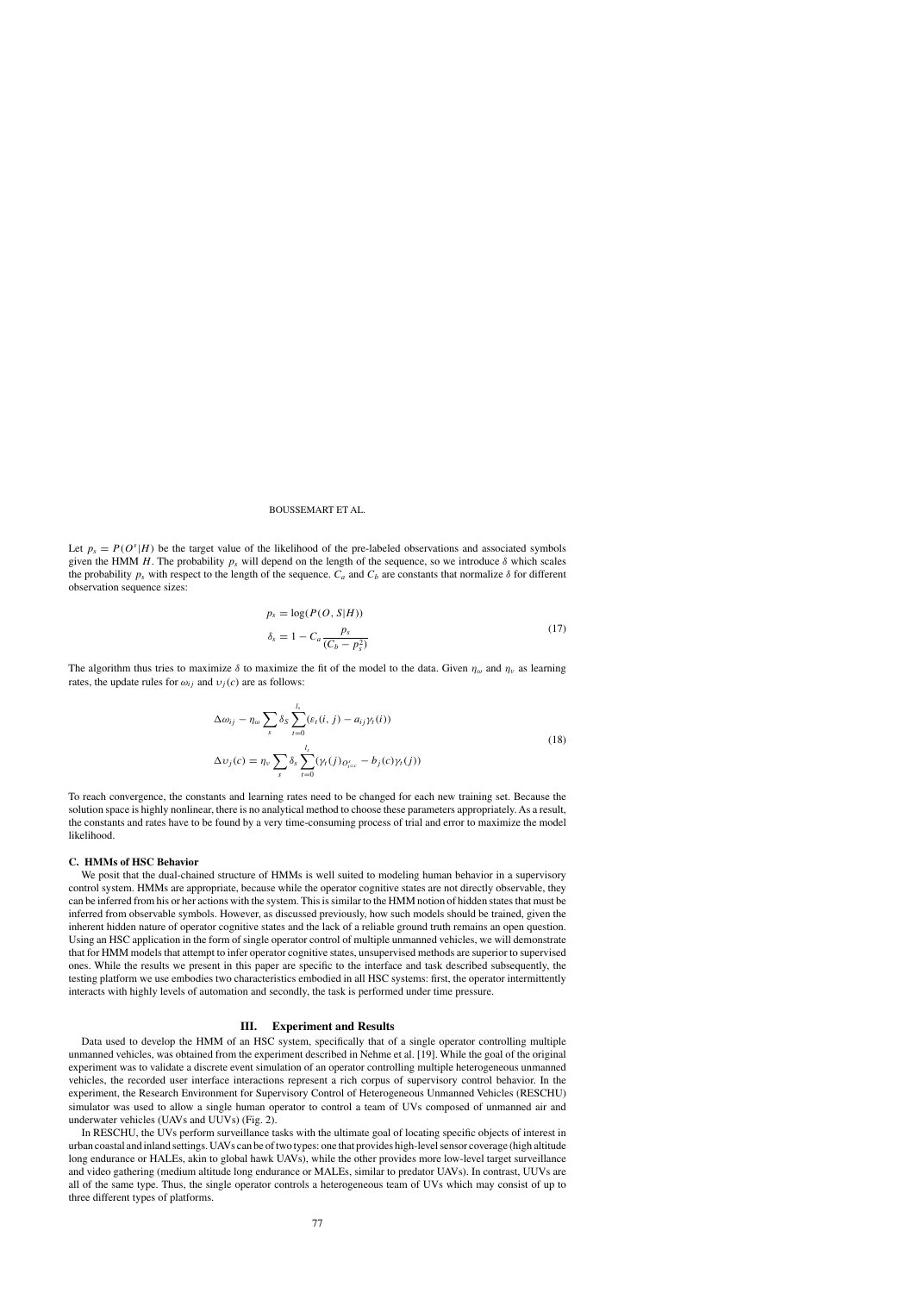Let  $p_s = P(O^s|H)$  be the target value of the likelihood of the pre-labeled observations and associated symbols given the HMM *H*. The probability  $p_s$  will depend on the length of the sequence, so we introduce  $\delta$  which scales the probability  $p_s$  with respect to the length of the sequence.  $C_a$  and  $C_b$  are constants that normalize  $\delta$  for different observation sequence sizes:

$$
p_s = \log(P(O, S|H))
$$
  
\n
$$
\delta_s = 1 - C_a \frac{p_s}{(C_b - p_s^2)}
$$
\n(17)

The algorithm thus tries to maximize  $\delta$  to maximize the fit of the model to the data. Given  $\eta_\omega$  and  $\eta_\nu$  as learning rates, the update rules for  $\omega_{ij}$  and  $v_j(c)$  are as follows:

$$
\Delta \omega_{ij} - \eta_{\omega} \sum_{s} \delta_{S} \sum_{t=0}^{l_{s}} (\varepsilon_{t}(i, j) - a_{ij} \gamma_{t}(i))
$$
  

$$
\Delta \nu_{j}(c) = \eta_{\nu} \sum_{s} \delta_{s} \sum_{t=0}^{l_{s}} (\gamma_{t}(j) \rho_{i=c}^{s} - b_{j}(c) \gamma_{t}(j))
$$
(18)

To reach convergence, the constants and learning rates need to be changed for each new training set. Because the solution space is highly nonlinear, there is no analytical method to choose these parameters appropriately. As a result, the constants and rates have to be found by a very time-consuming process of trial and error to maximize the model likelihood.

#### **C. HMMs of HSC Behavior**

We posit that the dual-chained structure of HMMs is well suited to modeling human behavior in a supervisory control system. HMMs are appropriate, because while the operator cognitive states are not directly observable, they can be inferred from his or her actions with the system. This is similar to the HMM notion of hidden states that must be inferred from observable symbols. However, as discussed previously, how such models should be trained, given the inherent hidden nature of operator cognitive states and the lack of a reliable ground truth remains an open question. Using an HSC application in the form of single operator control of multiple unmanned vehicles, we will demonstrate that for HMM models that attempt to infer operator cognitive states, unsupervised methods are superior to supervised ones. While the results we present in this paper are specific to the interface and task described subsequently, the testing platform we use embodies two characteristics embodied in all HSC systems: first, the operator intermittently interacts with highly levels of automation and secondly, the task is performed under time pressure.

## **III. Experiment and Results**

Data used to develop the HMM of an HSC system, specifically that of a single operator controlling multiple unmanned vehicles, was obtained from the experiment described in Nehme et al. [19]. While the goal of the original experiment was to validate a discrete event simulation of an operator controlling multiple heterogeneous unmanned vehicles, the recorded user interface interactions represent a rich corpus of supervisory control behavior. In the experiment, the Research Environment for Supervisory Control of Heterogeneous Unmanned Vehicles (RESCHU) simulator was used to allow a single human operator to control a team of UVs composed of unmanned air and underwater vehicles (UAVs and UUVs) (Fig. 2).

In RESCHU, the UVs perform surveillance tasks with the ultimate goal of locating specific objects of interest in urban coastal and inland settings. UAVs can be of two types: one that provides high-level sensor coverage (high altitude long endurance or HALEs, akin to global hawk UAVs), while the other provides more low-level target surveillance and video gathering (medium altitude long endurance or MALEs, similar to predator UAVs). In contrast, UUVs are all of the same type. Thus, the single operator controls a heterogeneous team of UVs which may consist of up to three different types of platforms.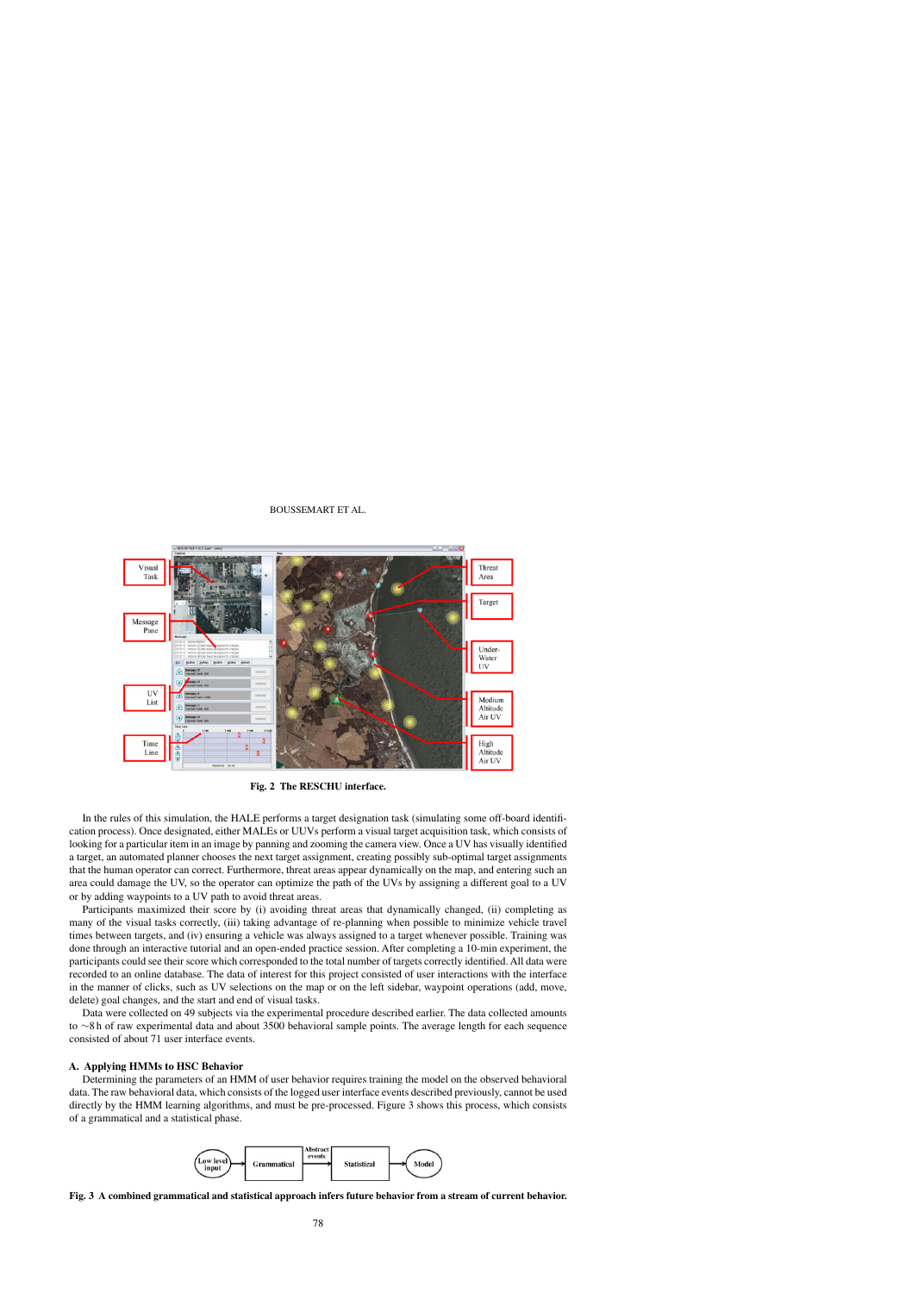

**Fig. 2 The RESCHU interface.**

In the rules of this simulation, the HALE performs a target designation task (simulating some off-board identification process). Once designated, either MALEs or UUVs perform a visual target acquisition task, which consists of looking for a particular item in an image by panning and zooming the camera view. Once a UV has visually identified a target, an automated planner chooses the next target assignment, creating possibly sub-optimal target assignments that the human operator can correct. Furthermore, threat areas appear dynamically on the map, and entering such an area could damage the UV, so the operator can optimize the path of the UVs by assigning a different goal to a UV or by adding waypoints to a UV path to avoid threat areas.

Participants maximized their score by (i) avoiding threat areas that dynamically changed, (ii) completing as many of the visual tasks correctly, (iii) taking advantage of re-planning when possible to minimize vehicle travel times between targets, and (iv) ensuring a vehicle was always assigned to a target whenever possible. Training was done through an interactive tutorial and an open-ended practice session. After completing a 10-min experiment, the participants could see their score which corresponded to the total number of targets correctly identified. All data were recorded to an online database. The data of interest for this project consisted of user interactions with the interface in the manner of clicks, such as UV selections on the map or on the left sidebar, waypoint operations (add, move, delete) goal changes, and the start and end of visual tasks.

Data were collected on 49 subjects via the experimental procedure described earlier. The data collected amounts to ∼8 h of raw experimental data and about 3500 behavioral sample points. The average length for each sequence consisted of about 71 user interface events.

## **A. Applying HMMs to HSC Behavior**

Determining the parameters of an HMM of user behavior requires training the model on the observed behavioral data. The raw behavioral data, which consists of the logged user interface events described previously, cannot be used directly by the HMM learning algorithms, and must be pre-processed. Figure 3 shows this process, which consists of a grammatical and a statistical phase.



**Fig. 3 A combined grammatical and statistical approach infers future behavior from a stream of current behavior.**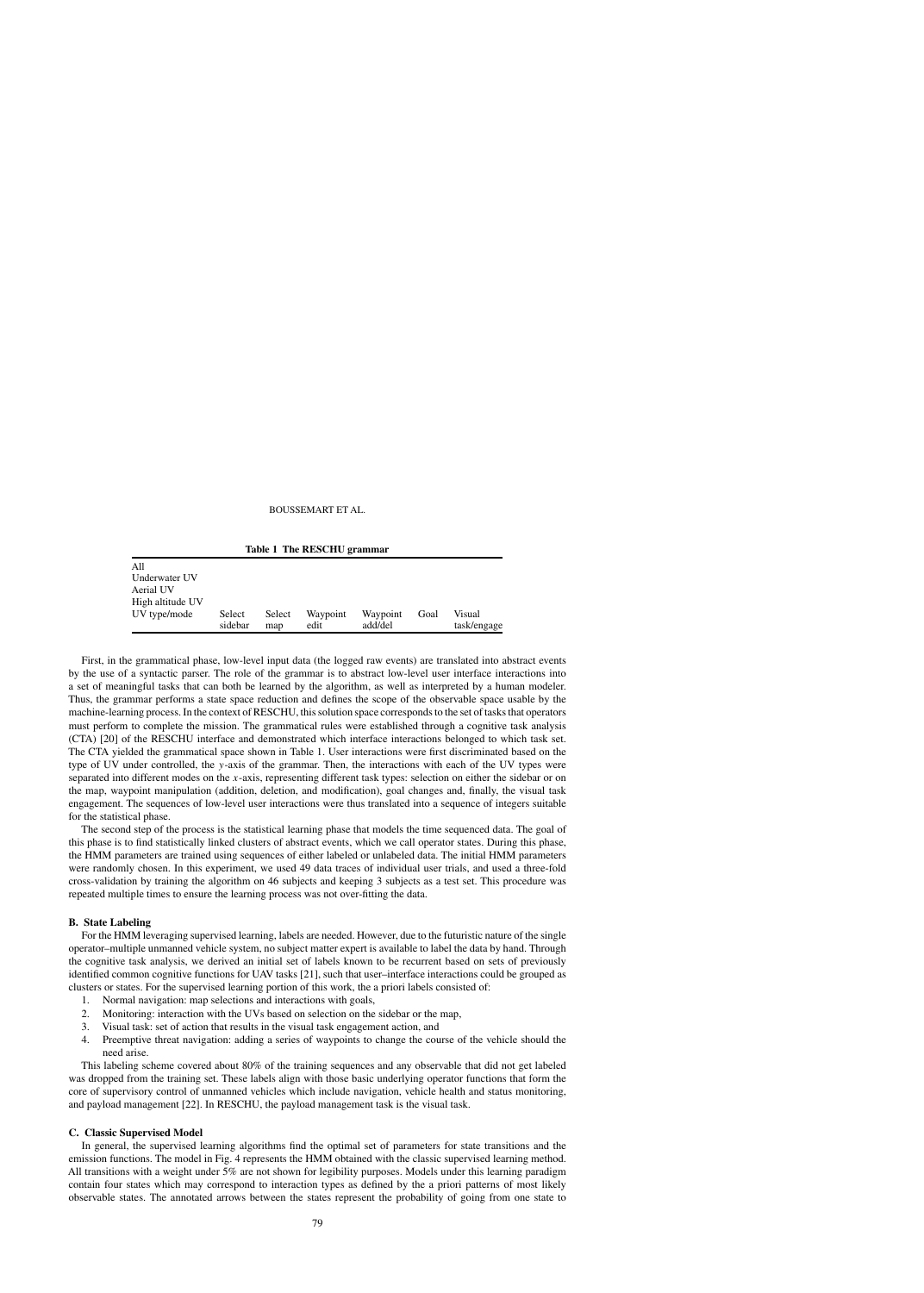| Table 1 The RESCHU grammar                            |                   |               |                  |                     |      |                       |  |  |
|-------------------------------------------------------|-------------------|---------------|------------------|---------------------|------|-----------------------|--|--|
| All<br>Underwater UV<br>Aerial UV<br>High altitude UV |                   |               |                  |                     |      |                       |  |  |
| UV type/mode                                          | Select<br>sidebar | Select<br>map | Waypoint<br>edit | Waypoint<br>add/del | Goal | Visual<br>task/engage |  |  |

First, in the grammatical phase, low-level input data (the logged raw events) are translated into abstract events by the use of a syntactic parser. The role of the grammar is to abstract low-level user interface interactions into a set of meaningful tasks that can both be learned by the algorithm, as well as interpreted by a human modeler. Thus, the grammar performs a state space reduction and defines the scope of the observable space usable by the machine-learning process. In the context of RESCHU, this solution space corresponds to the set of tasks that operators must perform to complete the mission. The grammatical rules were established through a cognitive task analysis (CTA) [20] of the RESCHU interface and demonstrated which interface interactions belonged to which task set. The CTA yielded the grammatical space shown in Table 1. User interactions were first discriminated based on the type of UV under controlled, the *y*-axis of the grammar. Then, the interactions with each of the UV types were separated into different modes on the *x*-axis, representing different task types: selection on either the sidebar or on the map, waypoint manipulation (addition, deletion, and modification), goal changes and, finally, the visual task engagement. The sequences of low-level user interactions were thus translated into a sequence of integers suitable for the statistical phase.

The second step of the process is the statistical learning phase that models the time sequenced data. The goal of this phase is to find statistically linked clusters of abstract events, which we call operator states. During this phase, the HMM parameters are trained using sequences of either labeled or unlabeled data. The initial HMM parameters were randomly chosen. In this experiment, we used 49 data traces of individual user trials, and used a three-fold cross-validation by training the algorithm on 46 subjects and keeping 3 subjects as a test set. This procedure was repeated multiple times to ensure the learning process was not over-fitting the data.

#### **B. State Labeling**

For the HMM leveraging supervised learning, labels are needed. However, due to the futuristic nature of the single operator–multiple unmanned vehicle system, no subject matter expert is available to label the data by hand. Through the cognitive task analysis, we derived an initial set of labels known to be recurrent based on sets of previously identified common cognitive functions for UAV tasks [21], such that user–interface interactions could be grouped as clusters or states. For the supervised learning portion of this work, the a priori labels consisted of:

- 1. Normal navigation: map selections and interactions with goals,
- 2. Monitoring: interaction with the UVs based on selection on the sidebar or the map,
- 3. Visual task: set of action that results in the visual task engagement action, and
- 4. Preemptive threat navigation: adding a series of waypoints to change the course of the vehicle should the need arise.

This labeling scheme covered about 80% of the training sequences and any observable that did not get labeled was dropped from the training set. These labels align with those basic underlying operator functions that form the core of supervisory control of unmanned vehicles which include navigation, vehicle health and status monitoring, and payload management [22]. In RESCHU, the payload management task is the visual task.

## **C. Classic Supervised Model**

In general, the supervised learning algorithms find the optimal set of parameters for state transitions and the emission functions. The model in Fig. 4 represents the HMM obtained with the classic supervised learning method. All transitions with a weight under 5% are not shown for legibility purposes. Models under this learning paradigm contain four states which may correspond to interaction types as defined by the a priori patterns of most likely observable states. The annotated arrows between the states represent the probability of going from one state to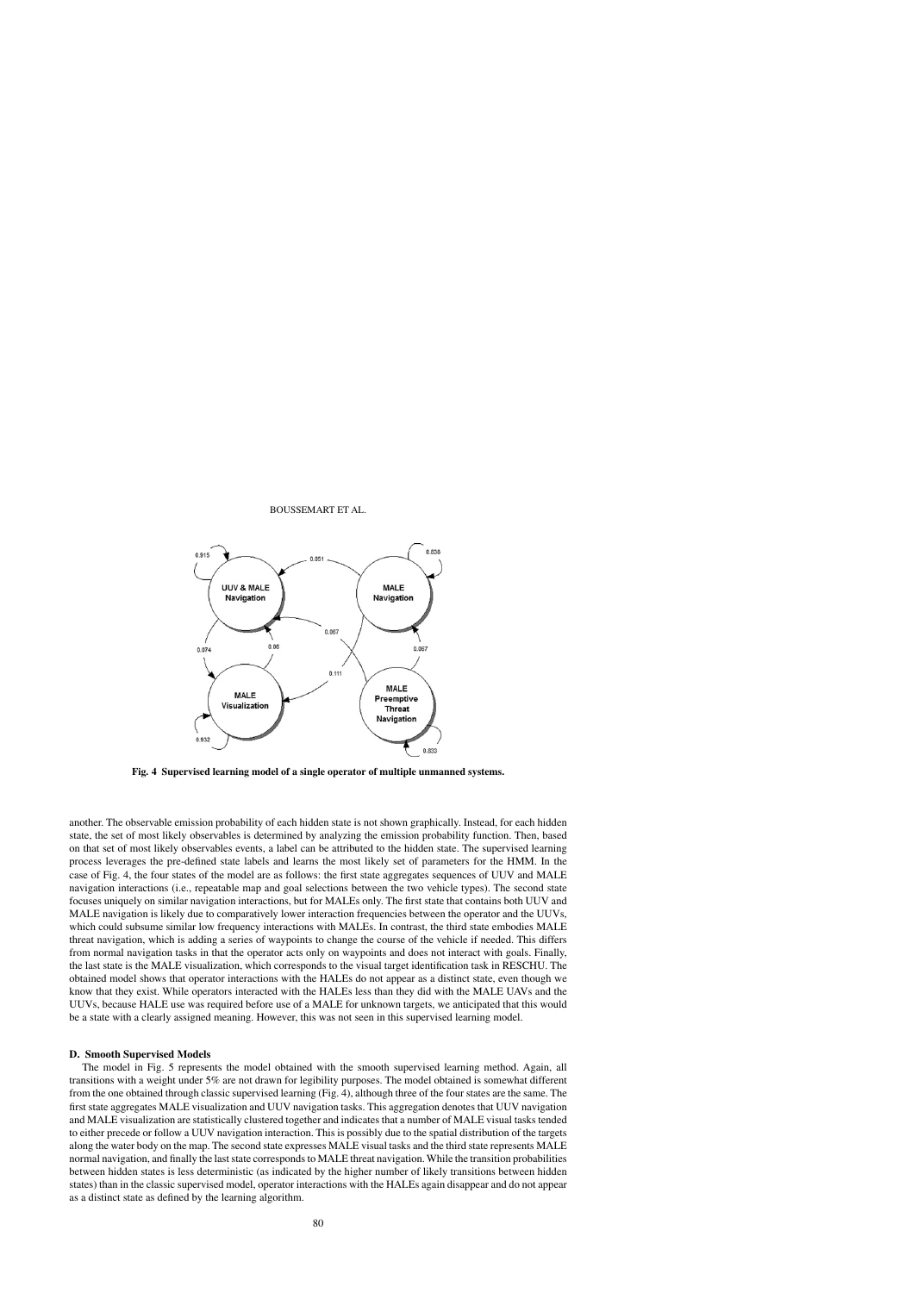

**Fig. 4 Supervised learning model of a single operator of multiple unmanned systems.**

another. The observable emission probability of each hidden state is not shown graphically. Instead, for each hidden state, the set of most likely observables is determined by analyzing the emission probability function. Then, based on that set of most likely observables events, a label can be attributed to the hidden state. The supervised learning process leverages the pre-defined state labels and learns the most likely set of parameters for the HMM. In the case of Fig. 4, the four states of the model are as follows: the first state aggregates sequences of UUV and MALE navigation interactions (i.e., repeatable map and goal selections between the two vehicle types). The second state focuses uniquely on similar navigation interactions, but for MALEs only. The first state that contains both UUV and MALE navigation is likely due to comparatively lower interaction frequencies between the operator and the UUVs, which could subsume similar low frequency interactions with MALEs. In contrast, the third state embodies MALE threat navigation, which is adding a series of waypoints to change the course of the vehicle if needed. This differs from normal navigation tasks in that the operator acts only on waypoints and does not interact with goals. Finally, the last state is the MALE visualization, which corresponds to the visual target identification task in RESCHU. The obtained model shows that operator interactions with the HALEs do not appear as a distinct state, even though we know that they exist. While operators interacted with the HALEs less than they did with the MALE UAVs and the UUVs, because HALE use was required before use of a MALE for unknown targets, we anticipated that this would be a state with a clearly assigned meaning. However, this was not seen in this supervised learning model.

## **D. Smooth Supervised Models**

The model in Fig. 5 represents the model obtained with the smooth supervised learning method. Again, all transitions with a weight under 5% are not drawn for legibility purposes. The model obtained is somewhat different from the one obtained through classic supervised learning (Fig. 4), although three of the four states are the same. The first state aggregates MALE visualization and UUV navigation tasks. This aggregation denotes that UUV navigation and MALE visualization are statistically clustered together and indicates that a number of MALE visual tasks tended to either precede or follow a UUV navigation interaction. This is possibly due to the spatial distribution of the targets along the water body on the map. The second state expresses MALE visual tasks and the third state represents MALE normal navigation, and finally the last state corresponds to MALE threat navigation. While the transition probabilities between hidden states is less deterministic (as indicated by the higher number of likely transitions between hidden states) than in the classic supervised model, operator interactions with the HALEs again disappear and do not appear as a distinct state as defined by the learning algorithm.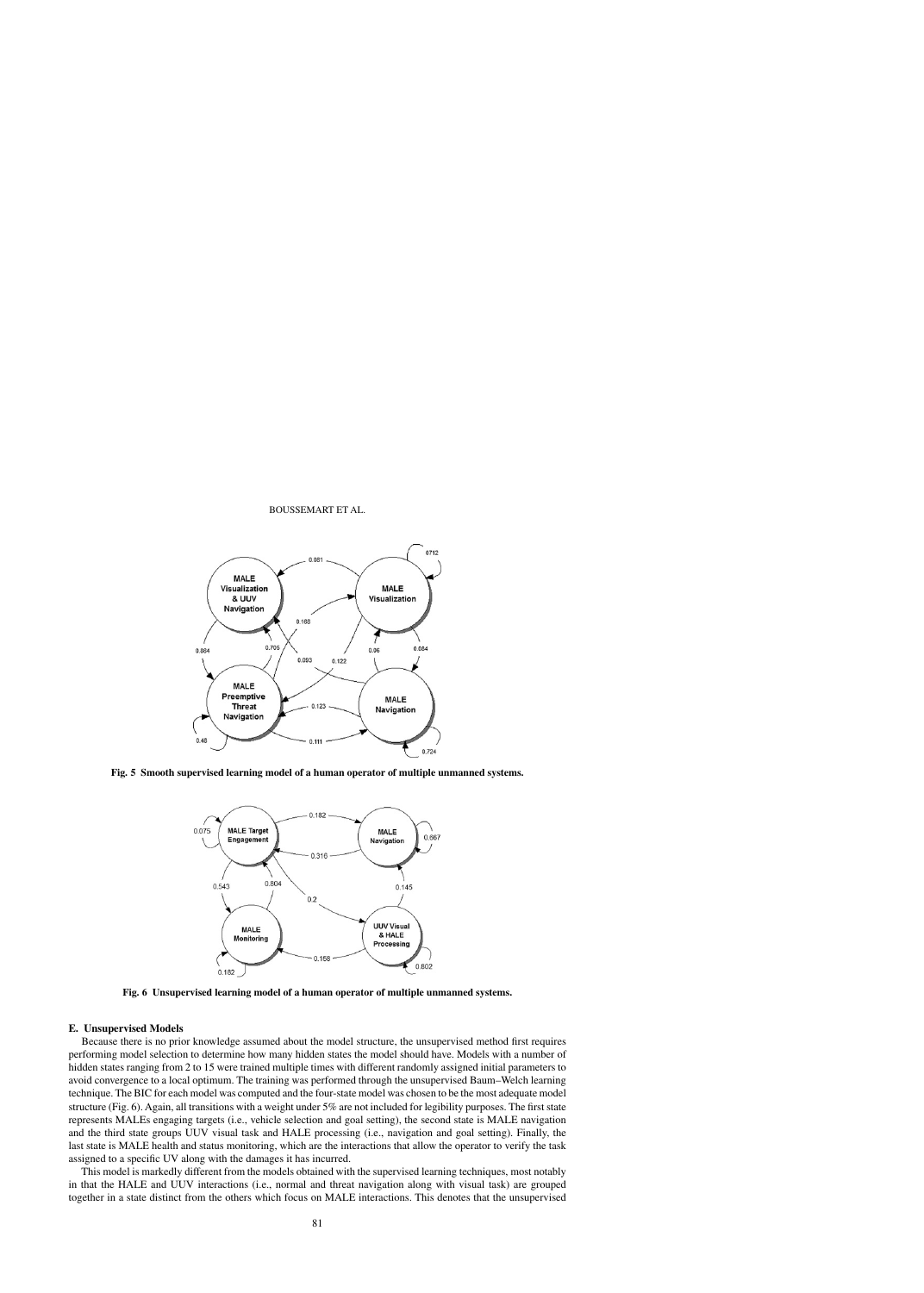

**Fig. 5 Smooth supervised learning model of a human operator of multiple unmanned systems.**



**Fig. 6 Unsupervised learning model of a human operator of multiple unmanned systems.**

#### **E. Unsupervised Models**

Because there is no prior knowledge assumed about the model structure, the unsupervised method first requires performing model selection to determine how many hidden states the model should have. Models with a number of hidden states ranging from 2 to 15 were trained multiple times with different randomly assigned initial parameters to avoid convergence to a local optimum. The training was performed through the unsupervised Baum–Welch learning technique. The BIC for each model was computed and the four-state model was chosen to be the most adequate model structure (Fig. 6). Again, all transitions with a weight under 5% are not included for legibility purposes. The first state represents MALEs engaging targets (i.e., vehicle selection and goal setting), the second state is MALE navigation and the third state groups UUV visual task and HALE processing (i.e., navigation and goal setting). Finally, the last state is MALE health and status monitoring, which are the interactions that allow the operator to verify the task assigned to a specific UV along with the damages it has incurred.

This model is markedly different from the models obtained with the supervised learning techniques, most notably in that the HALE and UUV interactions (i.e., normal and threat navigation along with visual task) are grouped together in a state distinct from the others which focus on MALE interactions. This denotes that the unsupervised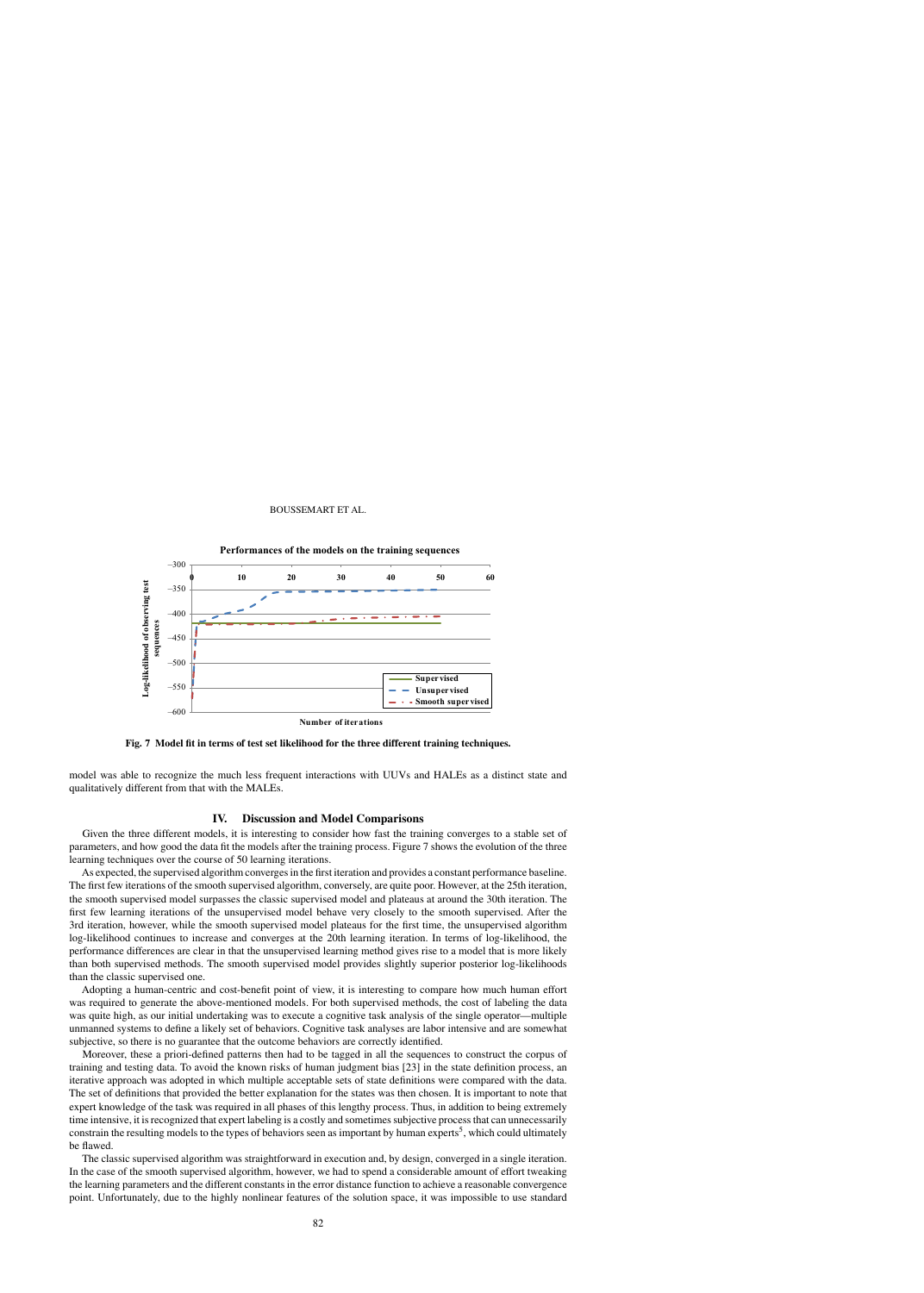

**Fig. 7 Model fit in terms of test set likelihood for the three different training techniques.**

model was able to recognize the much less frequent interactions with UUVs and HALEs as a distinct state and qualitatively different from that with the MALEs.

# **IV. Discussion and Model Comparisons**

Given the three different models, it is interesting to consider how fast the training converges to a stable set of parameters, and how good the data fit the models after the training process. Figure 7 shows the evolution of the three learning techniques over the course of 50 learning iterations.

As expected, the supervised algorithm converges in the first iteration and provides a constant performance baseline. The first few iterations of the smooth supervised algorithm, conversely, are quite poor. However, at the 25th iteration, the smooth supervised model surpasses the classic supervised model and plateaus at around the 30th iteration. The first few learning iterations of the unsupervised model behave very closely to the smooth supervised. After the 3rd iteration, however, while the smooth supervised model plateaus for the first time, the unsupervised algorithm log-likelihood continues to increase and converges at the 20th learning iteration. In terms of log-likelihood, the performance differences are clear in that the unsupervised learning method gives rise to a model that is more likely than both supervised methods. The smooth supervised model provides slightly superior posterior log-likelihoods than the classic supervised one.

Adopting a human-centric and cost-benefit point of view, it is interesting to compare how much human effort was required to generate the above-mentioned models. For both supervised methods, the cost of labeling the data was quite high, as our initial undertaking was to execute a cognitive task analysis of the single operator—multiple unmanned systems to define a likely set of behaviors. Cognitive task analyses are labor intensive and are somewhat subjective, so there is no guarantee that the outcome behaviors are correctly identified.

Moreover, these a priori-defined patterns then had to be tagged in all the sequences to construct the corpus of training and testing data. To avoid the known risks of human judgment bias [23] in the state definition process, an iterative approach was adopted in which multiple acceptable sets of state definitions were compared with the data. The set of definitions that provided the better explanation for the states was then chosen. It is important to note that expert knowledge of the task was required in all phases of this lengthy process. Thus, in addition to being extremely time intensive, it is recognized that expert labeling is a costly and sometimes subjective process that can unnecessarily constrain the resulting models to the types of behaviors seen as important by human experts<sup>5</sup>, which could ultimately be flawed.

The classic supervised algorithm was straightforward in execution and, by design, converged in a single iteration. In the case of the smooth supervised algorithm, however, we had to spend a considerable amount of effort tweaking the learning parameters and the different constants in the error distance function to achieve a reasonable convergence point. Unfortunately, due to the highly nonlinear features of the solution space, it was impossible to use standard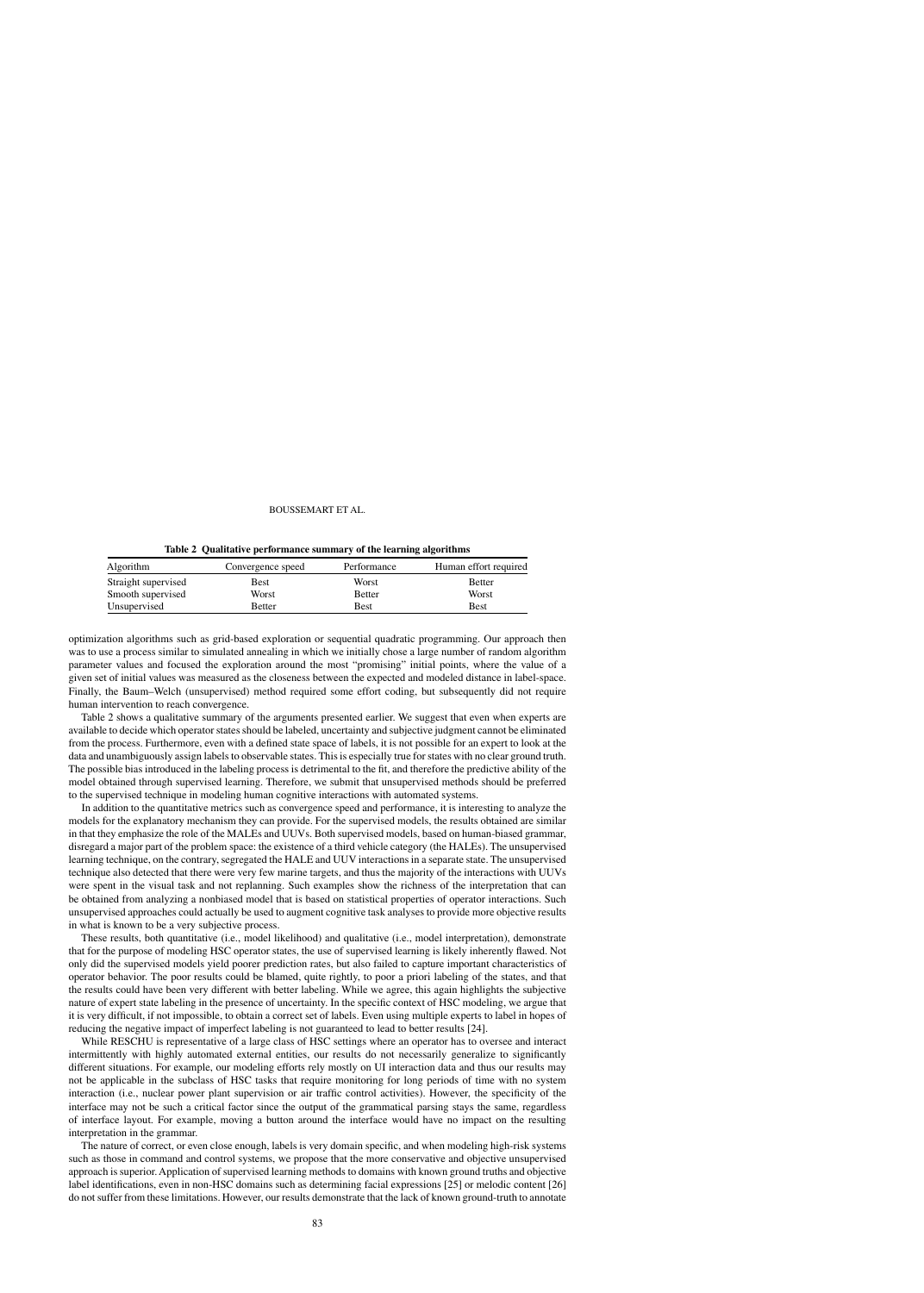| <b>Algorithm</b>    | Convergence speed | Performance   | Human effort required |
|---------------------|-------------------|---------------|-----------------------|
| Straight supervised | Best              | Worst         | <b>Better</b>         |
| Smooth supervised   | Worst             | <b>Better</b> | Worst                 |
| Unsupervised        | Better            | Best          | <b>Best</b>           |

**Table 2 Qualitative performance summary of the learning algorithms**

optimization algorithms such as grid-based exploration or sequential quadratic programming. Our approach then was to use a process similar to simulated annealing in which we initially chose a large number of random algorithm parameter values and focused the exploration around the most "promising" initial points, where the value of a given set of initial values was measured as the closeness between the expected and modeled distance in label-space. Finally, the Baum–Welch (unsupervised) method required some effort coding, but subsequently did not require human intervention to reach convergence.

Table 2 shows a qualitative summary of the arguments presented earlier. We suggest that even when experts are available to decide which operator states should be labeled, uncertainty and subjective judgment cannot be eliminated from the process. Furthermore, even with a defined state space of labels, it is not possible for an expert to look at the data and unambiguously assign labels to observable states. This is especially true for states with no clear ground truth. The possible bias introduced in the labeling process is detrimental to the fit, and therefore the predictive ability of the model obtained through supervised learning. Therefore, we submit that unsupervised methods should be preferred to the supervised technique in modeling human cognitive interactions with automated systems.

In addition to the quantitative metrics such as convergence speed and performance, it is interesting to analyze the models for the explanatory mechanism they can provide. For the supervised models, the results obtained are similar in that they emphasize the role of the MALEs and UUVs. Both supervised models, based on human-biased grammar, disregard a major part of the problem space: the existence of a third vehicle category (the HALEs). The unsupervised learning technique, on the contrary, segregated the HALE and UUV interactions in a separate state. The unsupervised technique also detected that there were very few marine targets, and thus the majority of the interactions with UUVs were spent in the visual task and not replanning. Such examples show the richness of the interpretation that can be obtained from analyzing a nonbiased model that is based on statistical properties of operator interactions. Such unsupervised approaches could actually be used to augment cognitive task analyses to provide more objective results in what is known to be a very subjective process.

These results, both quantitative (i.e., model likelihood) and qualitative (i.e., model interpretation), demonstrate that for the purpose of modeling HSC operator states, the use of supervised learning is likely inherently flawed. Not only did the supervised models yield poorer prediction rates, but also failed to capture important characteristics of operator behavior. The poor results could be blamed, quite rightly, to poor a priori labeling of the states, and that the results could have been very different with better labeling. While we agree, this again highlights the subjective nature of expert state labeling in the presence of uncertainty. In the specific context of HSC modeling, we argue that it is very difficult, if not impossible, to obtain a correct set of labels. Even using multiple experts to label in hopes of reducing the negative impact of imperfect labeling is not guaranteed to lead to better results [24].

While RESCHU is representative of a large class of HSC settings where an operator has to oversee and interact intermittently with highly automated external entities, our results do not necessarily generalize to significantly different situations. For example, our modeling efforts rely mostly on UI interaction data and thus our results may not be applicable in the subclass of HSC tasks that require monitoring for long periods of time with no system interaction (i.e., nuclear power plant supervision or air traffic control activities). However, the specificity of the interface may not be such a critical factor since the output of the grammatical parsing stays the same, regardless of interface layout. For example, moving a button around the interface would have no impact on the resulting interpretation in the grammar.

The nature of correct, or even close enough, labels is very domain specific, and when modeling high-risk systems such as those in command and control systems, we propose that the more conservative and objective unsupervised approach is superior. Application of supervised learning methods to domains with known ground truths and objective label identifications, even in non-HSC domains such as determining facial expressions [25] or melodic content [26] do not suffer from these limitations. However, our results demonstrate that the lack of known ground-truth to annotate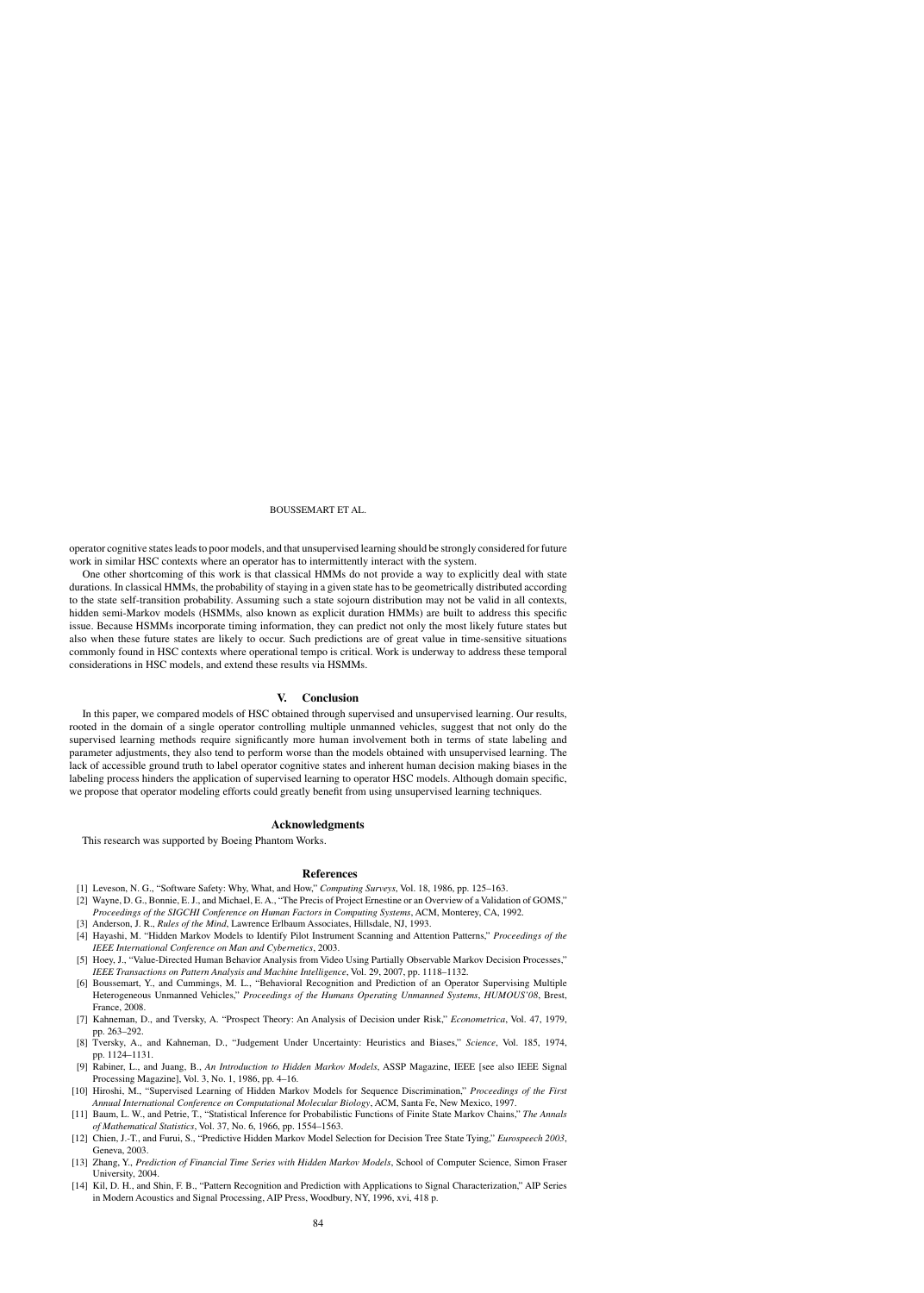operator cognitive states leads to poor models, and that unsupervised learning should be strongly considered for future work in similar HSC contexts where an operator has to intermittently interact with the system.

One other shortcoming of this work is that classical HMMs do not provide a way to explicitly deal with state durations. In classical HMMs, the probability of staying in a given state has to be geometrically distributed according to the state self-transition probability. Assuming such a state sojourn distribution may not be valid in all contexts, hidden semi-Markov models (HSMMs, also known as explicit duration HMMs) are built to address this specific issue. Because HSMMs incorporate timing information, they can predict not only the most likely future states but also when these future states are likely to occur. Such predictions are of great value in time-sensitive situations commonly found in HSC contexts where operational tempo is critical. Work is underway to address these temporal considerations in HSC models, and extend these results via HSMMs.

# **V. Conclusion**

In this paper, we compared models of HSC obtained through supervised and unsupervised learning. Our results, rooted in the domain of a single operator controlling multiple unmanned vehicles, suggest that not only do the supervised learning methods require significantly more human involvement both in terms of state labeling and parameter adjustments, they also tend to perform worse than the models obtained with unsupervised learning. The lack of accessible ground truth to label operator cognitive states and inherent human decision making biases in the labeling process hinders the application of supervised learning to operator HSC models. Although domain specific, we propose that operator modeling efforts could greatly benefit from using unsupervised learning techniques.

## **Acknowledgments**

This research was supported by Boeing Phantom Works.

#### **References**

- [1] Leveson, N. G., "Software Safety: Why, What, and How," *Computing Surveys*, Vol. 18, 1986, pp. 125–163.
- [2] Wayne, D. G., Bonnie, E. J., and Michael, E. A., "The Precis of Project Ernestine or an Overview of a Validation of GOMS," *Proceedings of the SIGCHI Conference on Human Factors in Computing Systems*, ACM, Monterey, CA, 1992.
- [3] Anderson, J. R., *Rules of the Mind*, Lawrence Erlbaum Associates, Hillsdale, NJ, 1993.
- [4] Hayashi, M. "Hidden Markov Models to Identify Pilot Instrument Scanning and Attention Patterns," *Proceedings of the IEEE International Conference on Man and Cybernetics*, 2003.
- [5] Hoey, J., "Value-Directed Human Behavior Analysis from Video Using Partially Observable Markov Decision Processes," *IEEE Transactions on Pattern Analysis and Machine Intelligence*, Vol. 29, 2007, pp. 1118–1132.
- [6] Boussemart, Y., and Cummings, M. L., "Behavioral Recognition and Prediction of an Operator Supervising Multiple Heterogeneous Unmanned Vehicles," *Proceedings of the Humans Operating Unmanned Systems*, *HUMOUS'08*, Brest, France, 2008.
- [7] Kahneman, D., and Tversky, A. "Prospect Theory: An Analysis of Decision under Risk," *Econometrica*, Vol. 47, 1979, pp. 263–292.
- [8] Tversky, A., and Kahneman, D., "Judgement Under Uncertainty: Heuristics and Biases," *Science*, Vol. 185, 1974, pp. 1124–1131.
- [9] Rabiner, L., and Juang, B., *An Introduction to Hidden Markov Models*, ASSP Magazine, IEEE [see also IEEE Signal Processing Magazine], Vol. 3, No. 1, 1986, pp. 4–16.
- [10] Hiroshi, M., "Supervised Learning of Hidden Markov Models for Sequence Discrimination," *Proceedings of the First Annual International Conference on Computational Molecular Biology*, ACM, Santa Fe, New Mexico, 1997.
- [11] Baum, L. W., and Petrie, T., "Statistical Inference for Probabilistic Functions of Finite State Markov Chains," *The Annals of Mathematical Statistics*, Vol. 37, No. 6, 1966, pp. 1554–1563.
- [12] Chien, J.-T., and Furui, S., "Predictive Hidden Markov Model Selection for Decision Tree State Tying," *Eurospeech 2003*, Geneva, 2003.
- [13] Zhang, Y., *Prediction of Financial Time Series with Hidden Markov Models*, School of Computer Science, Simon Fraser University, 2004.
- [14] Kil, D. H., and Shin, F. B., "Pattern Recognition and Prediction with Applications to Signal Characterization," AIP Series in Modern Acoustics and Signal Processing, AIP Press, Woodbury, NY, 1996, xvi, 418 p.